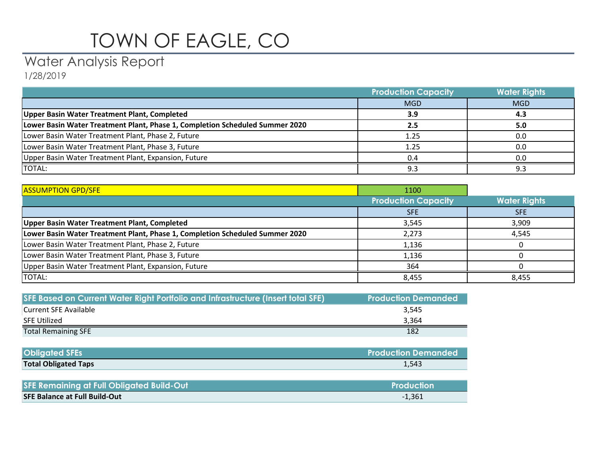## TOWN OF EAGLE, CO

## Water Analysis Report

1/28/2019

|                                                                              | <b>Production Capacity</b> | <b>Water Rights</b> |
|------------------------------------------------------------------------------|----------------------------|---------------------|
|                                                                              | <b>MGD</b>                 | <b>MGD</b>          |
| Upper Basin Water Treatment Plant, Completed                                 | 3.9                        | 4.3                 |
| Lower Basin Water Treatment Plant, Phase 1, Completion Scheduled Summer 2020 |                            | 5.0                 |
| Lower Basin Water Treatment Plant, Phase 2, Future                           | 1.25                       | 0.0                 |
| Lower Basin Water Treatment Plant, Phase 3, Future                           | 1.25                       | 0.0                 |
| Upper Basin Water Treatment Plant, Expansion, Future                         | 0.4                        | 0.0                 |
| <b>TOTAL:</b>                                                                | 9.3                        |                     |

| <b>ASSUMPTION GPD/SFE</b>                                                    | 1100                       |                     |
|------------------------------------------------------------------------------|----------------------------|---------------------|
|                                                                              | <b>Production Capacity</b> | <b>Water Rights</b> |
|                                                                              | <b>SFE</b>                 | <b>SFE</b>          |
| Upper Basin Water Treatment Plant, Completed                                 | 3,545                      | 3,909               |
| Lower Basin Water Treatment Plant, Phase 1, Completion Scheduled Summer 2020 | 2,273                      | 4,545               |
| Lower Basin Water Treatment Plant, Phase 2, Future                           | 1,136                      |                     |
| Lower Basin Water Treatment Plant, Phase 3, Future                           | 1,136                      |                     |
| Upper Basin Water Treatment Plant, Expansion, Future                         | 364                        |                     |
| TOTAL:                                                                       | 8,455                      | 8,455               |

| SFE Based on Current Water Right Portfolio and Infrastructure (Insert total SFE) | <b>Production Demanded</b> |
|----------------------------------------------------------------------------------|----------------------------|
| Current SFE Available                                                            | 3.545                      |
| SFE Utilized                                                                     | 3.364                      |
| <b>Total Remaining SFE</b>                                                       | 182                        |

| <b>Obligated SFEs</b>       | <b>Production Demanded</b> |
|-----------------------------|----------------------------|
| <b>Total Obligated Taps</b> | 1,543                      |

| <b>SFE Remaining at Full Obligated Build-Out</b> | Production |
|--------------------------------------------------|------------|
| <b>SFE Balance at Full Build-Out</b>             | $-1,361$   |